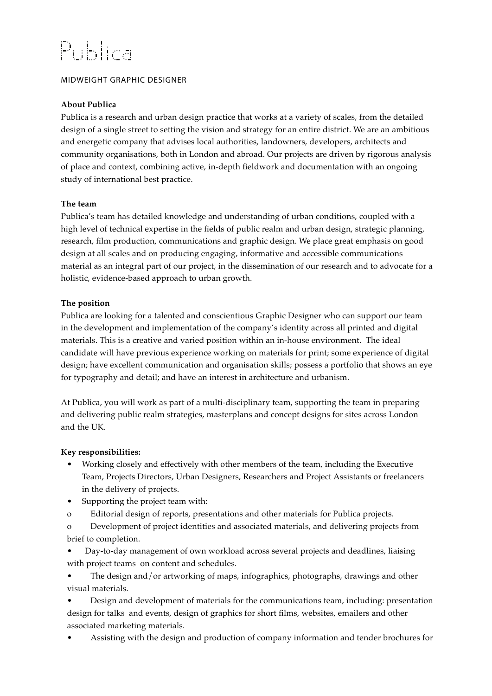# Publica

## MIDWEIGHT GRAPHIC DESIGNER

## **About Publica**

Publica is a research and urban design practice that works at a variety of scales, from the detailed design of a single street to setting the vision and strategy for an entire district. We are an ambitious and energetic company that advises local authorities, landowners, developers, architects and community organisations, both in London and abroad. Our projects are driven by rigorous analysis of place and context, combining active, in-depth fieldwork and documentation with an ongoing study of international best practice.

## **The team**

Publica's team has detailed knowledge and understanding of urban conditions, coupled with a high level of technical expertise in the fields of public realm and urban design, strategic planning, research, film production, communications and graphic design. We place great emphasis on good design at all scales and on producing engaging, informative and accessible communications material as an integral part of our project, in the dissemination of our research and to advocate for a holistic, evidence-based approach to urban growth.

## **The position**

Publica are looking for a talented and conscientious Graphic Designer who can support our team in the development and implementation of the company's identity across all printed and digital materials. This is a creative and varied position within an in-house environment. The ideal candidate will have previous experience working on materials for print; some experience of digital design; have excellent communication and organisation skills; possess a portfolio that shows an eye for typography and detail; and have an interest in architecture and urbanism.

At Publica, you will work as part of a multi-disciplinary team, supporting the team in preparing and delivering public realm strategies, masterplans and concept designs for sites across London and the UK.

#### **Key responsibilities:**

- Working closely and effectively with other members of the team, including the Executive Team, Projects Directors, Urban Designers, Researchers and Project Assistants or freelancers in the delivery of projects.
- Supporting the project team with:
- o Editorial design of reports, presentations and other materials for Publica projects.
- o Development of project identities and associated materials, and delivering projects from brief to completion.
- Day-to-day management of own workload across several projects and deadlines, liaising with project teams on content and schedules.
- The design and/or artworking of maps, infographics, photographs, drawings and other visual materials.

• Design and development of materials for the communications team, including: presentation design for talks and events, design of graphics for short films, websites, emailers and other associated marketing materials.

• Assisting with the design and production of company information and tender brochures for